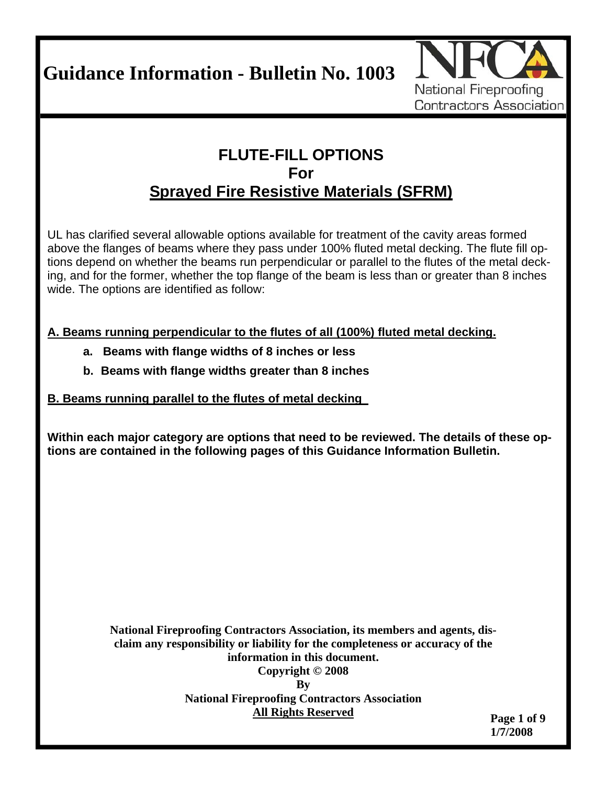**Guidance Information - Bulletin No. 1003** 



## **FLUTE-FILL OPTIONS For Sprayed Fire Resistive Materials (SFRM)**

UL has clarified several allowable options available for treatment of the cavity areas formed above the flanges of beams where they pass under 100% fluted metal decking. The flute fill options depend on whether the beams run perpendicular or parallel to the flutes of the metal decking, and for the former, whether the top flange of the beam is less than or greater than 8 inches wide. The options are identified as follow:

**A. Beams running perpendicular to the flutes of all (100%) fluted metal decking.**

- **a. Beams with flange widths of 8 inches or less**
- **b. Beams with flange widths greater than 8 inches**

## **B. Beams running parallel to the flutes of metal decking**

**Within each major category are options that need to be reviewed. The details of these options are contained in the following pages of this Guidance Information Bulletin.** 

> **National Fireproofing Contractors Association, its members and agents, disclaim any responsibility or liability for the completeness or accuracy of the information in this document. Copyright © 2008 By National Fireproofing Contractors Association All Rights Reserved**

**Page 1 of 9 1/7/2008**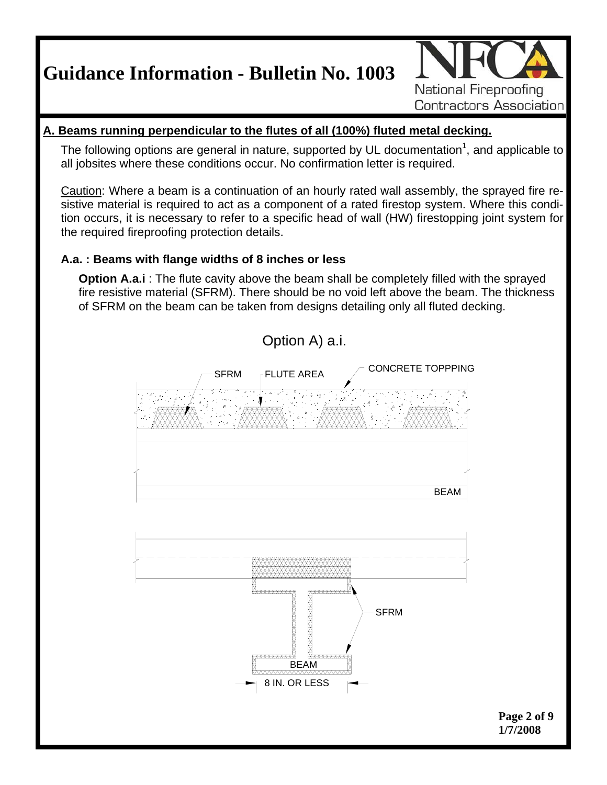**Guidance Information - Bulletin No. 1003** 



## **A. Beams running perpendicular to the flutes of all (100%) fluted metal decking.**

The following options are general in nature, supported by UL documentation<sup>1</sup>, and applicable to all jobsites where these conditions occur. No confirmation letter is required.

Caution: Where a beam is a continuation of an hourly rated wall assembly, the sprayed fire resistive material is required to act as a component of a rated firestop system. Where this condition occurs, it is necessary to refer to a specific head of wall (HW) firestopping joint system for the required fireproofing protection details.

## **A.a. : Beams with flange widths of 8 inches or less**

**Option A.a.i** : The flute cavity above the beam shall be completely filled with the sprayed fire resistive material (SFRM). There should be no void left above the beam. The thickness of SFRM on the beam can be taken from designs detailing only all fluted decking.

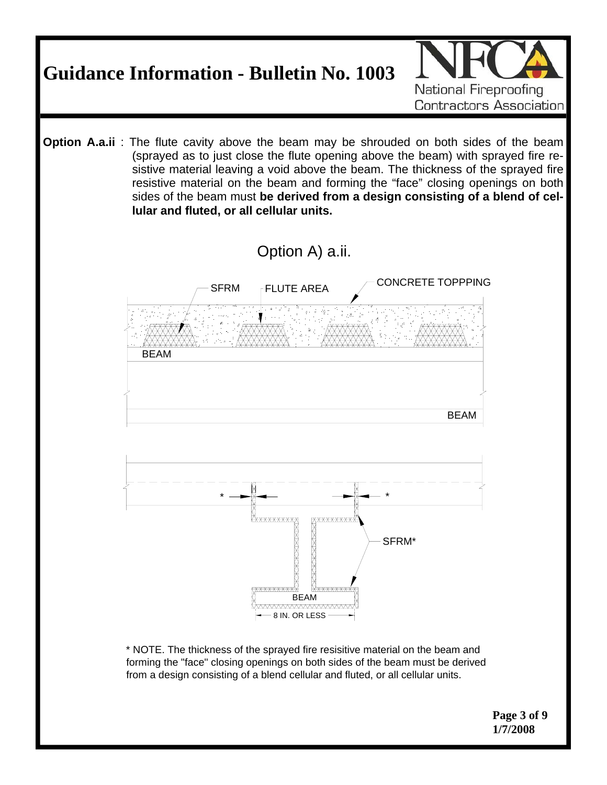

\* NOTE. The thickness of the sprayed fire resisitive material on the beam and forming the "face" closing openings on both sides of the beam must be derived from a design consisting of a blend cellular and fluted, or all cellular units.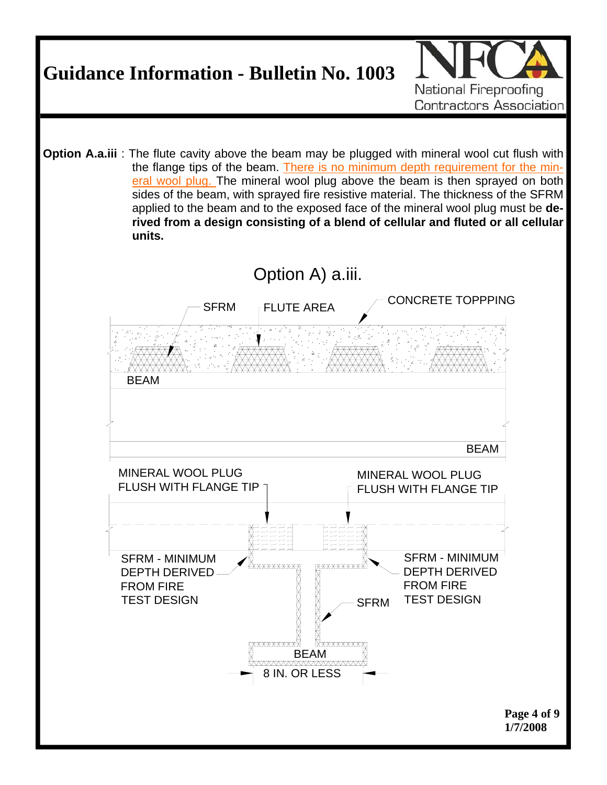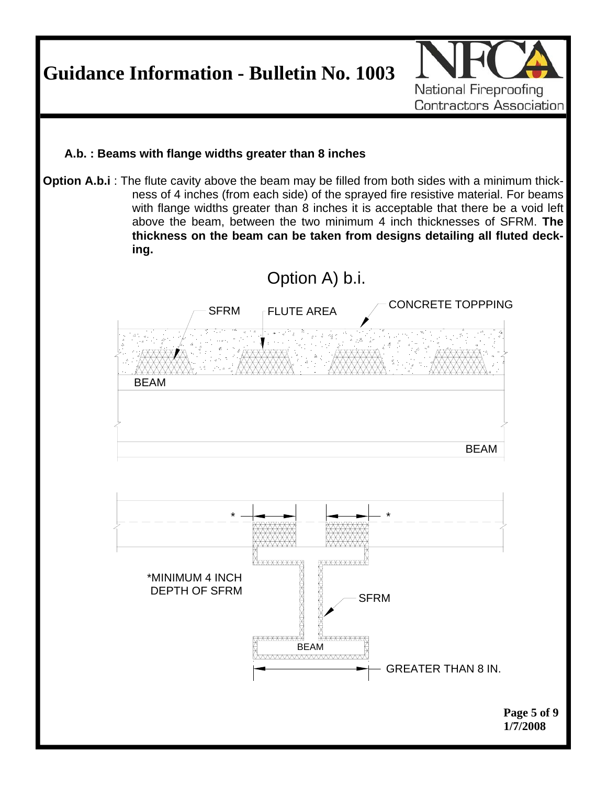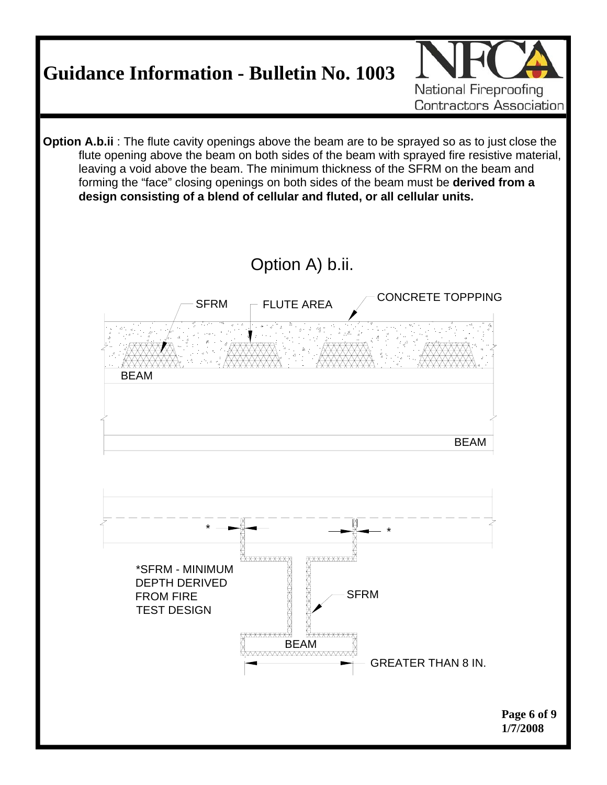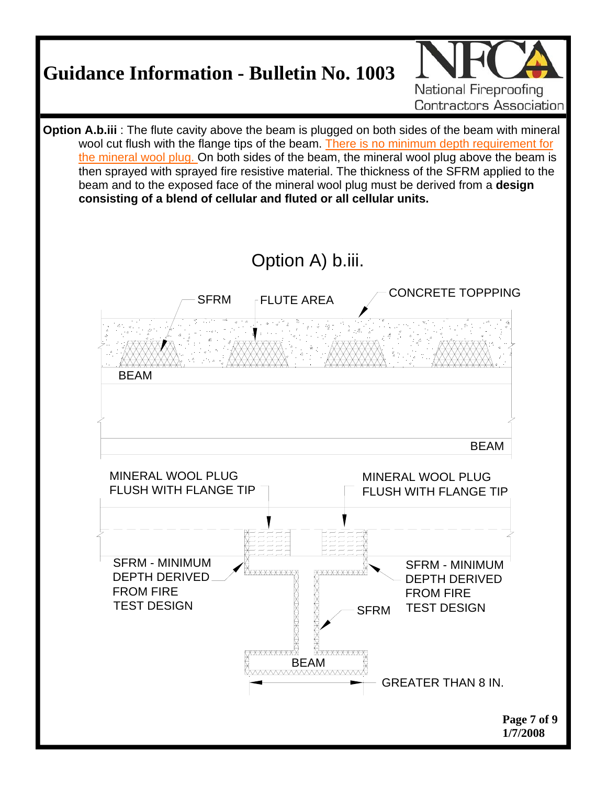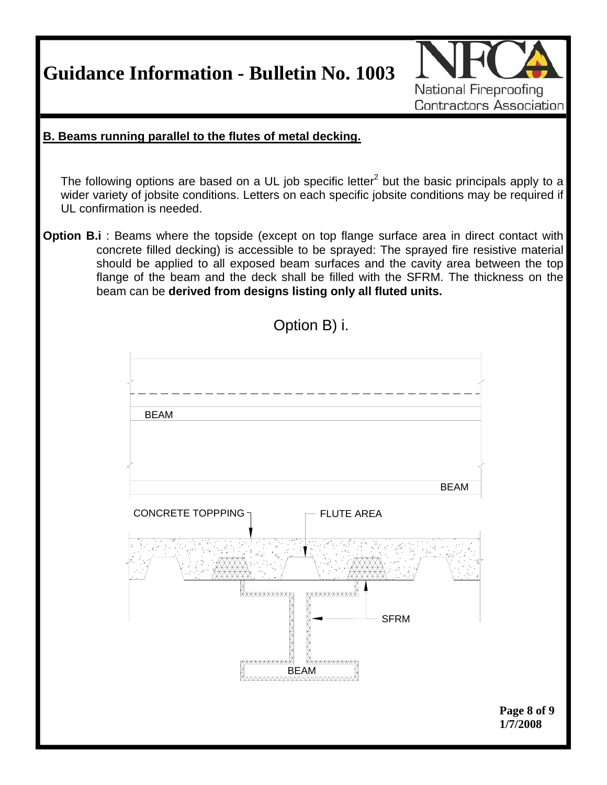